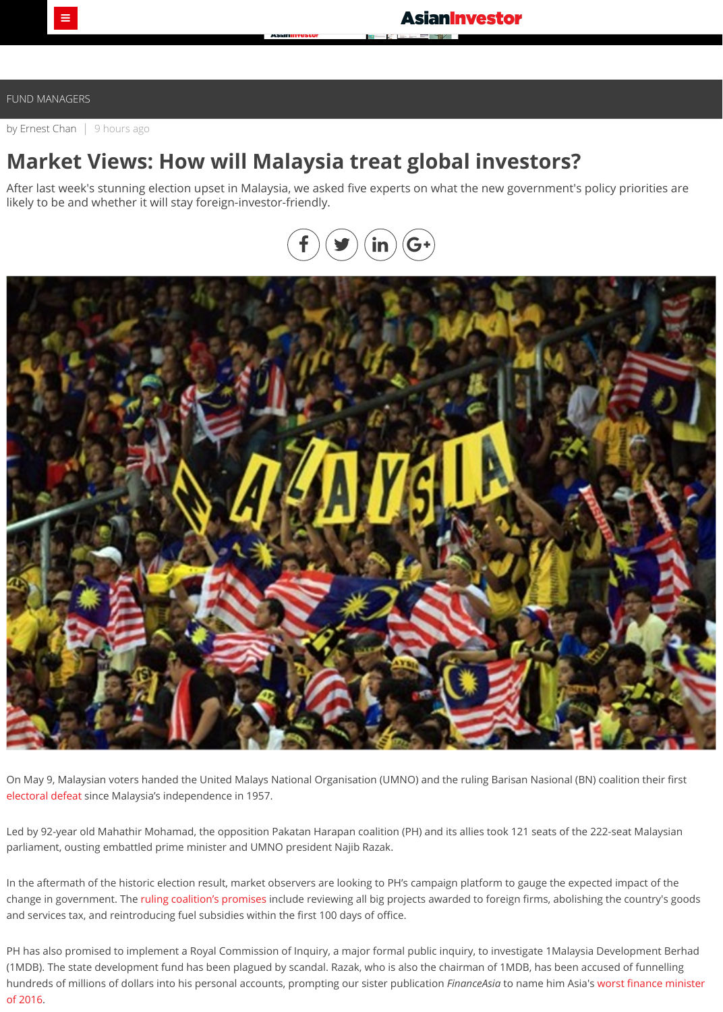by [Ernest Chan](http://www.asianinvestor.net/author/ernest-chan/975111) | 9 hours ago

# **Market Views: How will Malaysia treat global investors?**

After last week's stunning election upset in Malaysia, we asked five experts on what the new government's policy priorities are likely to be and whether it will stay foreign-investor-friendly.

On May 9, Malaysian voters handed the United Malays National Organisation (UMNO) and the ruling Barisan Nasional (BN) coalition their first [electoral defeat](http://www.asianinvestor.net/article/investors-react-to-malaysias-stunning-election-upset/444456) since Malaysia's independence in 1957.

Led by 92-year old Mahathir Mohamad, the opposition Pakatan Harapan coalition (PH) and its allies took 121 seats of the 222-seat Malaysian parliament, ousting embattled prime minister and UMNO president Najib Razak.

In the aftermath of the historic election result, market observers are looking to PH's campaign platform to gauge the expected impact of the change in government. The [ruling coalition's promises](http://pakatanharapan.com.my/diymanifesto.php) include reviewing all big projects awarded to foreign firms, abolishing the country's goods and services tax, and reintroducing fuel subsidies within the first 100 days of office.

PH has also promised to implement a Royal Commission of Inquiry, a major formal public inquiry, to investigate 1Malaysia Development Berhad (1MDB). The state development fund has been plagued by scandal. Razak, who is also the chairman of 1MDB, has been accused of funnelling [hundreds of millions of dollars into his personal accounts, prompting our sister publication](https://www.financeasia.com/News/405600,najib-razak-asias-worst-finance-minister-2016.aspx) *FinanceAsia* to name him Asia's worst finance minister of 2016.



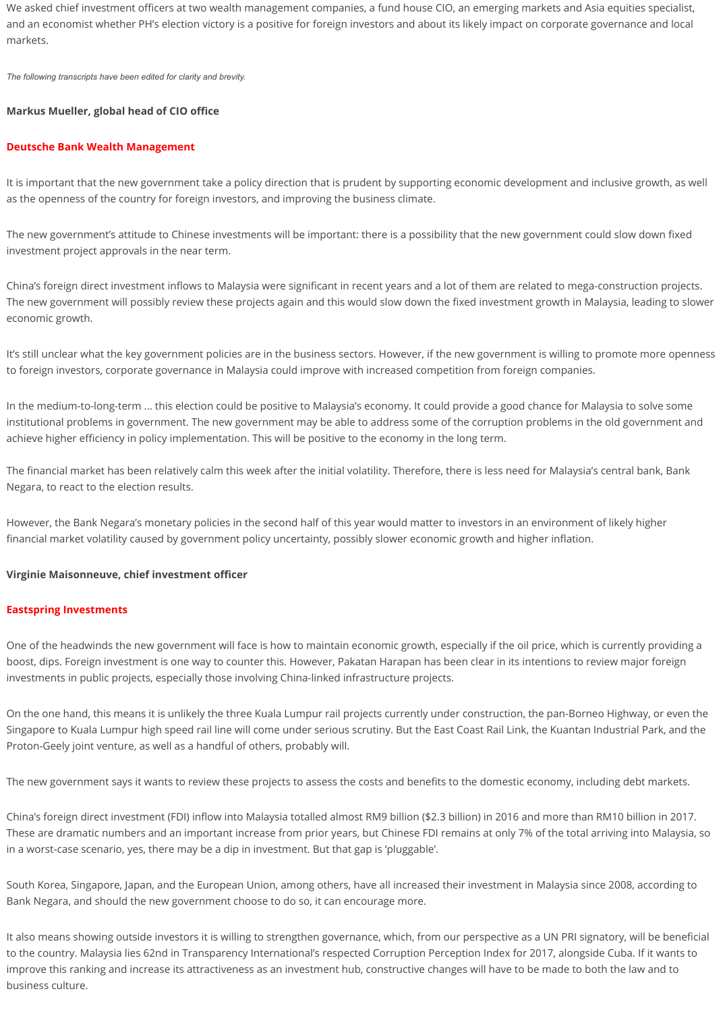We asked chief investment officers at two wealth management companies, a fund house CIO, an emerging markets and Asia equities specialist, and an economist whether PH's election victory is a positive for foreign investors and about its likely impact on corporate governance and local markets.

*The following transcripts have been edited for clarity and brevity.*

# **Markus Mueller, global head of CIO office**

#### **Deutsche Bank Wealth Management**

It is important that the new government take a policy direction that is prudent by supporting economic development and inclusive growth, as well as the openness of the country for foreign investors, and improving the business climate.

The new government's attitude to Chinese investments will be important: there is a possibility that the new government could slow down fixed investment project approvals in the near term.

China's foreign direct investment inflows to Malaysia were significant in recent years and a lot of them are related to mega-construction projects. The new government will possibly review these projects again and this would slow down the fixed investment growth in Malaysia, leading to slower economic growth.

It's still unclear what the key government policies are in the business sectors. However, if the new government is willing to promote more openness to foreign investors, corporate governance in Malaysia could improve with increased competition from foreign companies.

In the medium-to-long-term ... this election could be positive to Malaysia's economy. It could provide a good chance for Malaysia to solve some institutional problems in government. The new government may be able to address some of the corruption problems in the old government and achieve higher efficiency in policy implementation. This will be positive to the economy in the long term.

The financial market has been relatively calm this week after the initial volatility. Therefore, there is less need for Malaysia's central bank, Bank Negara, to react to the election results.

However, the Bank Negara's monetary policies in the second half of this year would matter to investors in an environment of likely higher financial market volatility caused by government policy uncertainty, possibly slower economic growth and higher inflation.

# **Virginie Maisonneuve, chief investment officer**

#### **Eastspring Investments**

One of the headwinds the new government will face is how to maintain economic growth, especially if the oil price, which is currently providing a boost, dips. Foreign investment is one way to counter this. However, Pakatan Harapan has been clear in its intentions to review major foreign investments in public projects, especially those involving China-linked infrastructure projects.

On the one hand, this means it is unlikely the three Kuala Lumpur rail projects currently under construction, the pan-Borneo Highway, or even the Singapore to Kuala Lumpur high speed rail line will come under serious scrutiny. But the East Coast Rail Link, the Kuantan Industrial Park, and the Proton-Geely joint venture, as well as a handful of others, probably will.

The new government says it wants to review these projects to assess the costs and benefits to the domestic economy, including debt markets.

China's foreign direct investment (FDI) inflow into Malaysia totalled almost RM9 billion (\$2.3 billion) in 2016 and more than RM10 billion in 2017. These are dramatic numbers and an important increase from prior years, but Chinese FDI remains at only 7% of the total arriving into Malaysia, so in a worst-case scenario, yes, there may be a dip in investment. But that gap is 'pluggable'.

South Korea, Singapore, Japan, and the European Union, among others, have all increased their investment in Malaysia since 2008, according to Bank Negara, and should the new government choose to do so, it can encourage more.

It also means showing outside investors it is willing to strengthen governance, which, from our perspective as a UN PRI signatory, will be beneficial to the country. Malaysia lies 62nd in Transparency International's respected Corruption Perception Index for 2017, alongside Cuba. If it wants to improve this ranking and increase its attractiveness as an investment hub, constructive changes will have to be made to both the law and to business culture.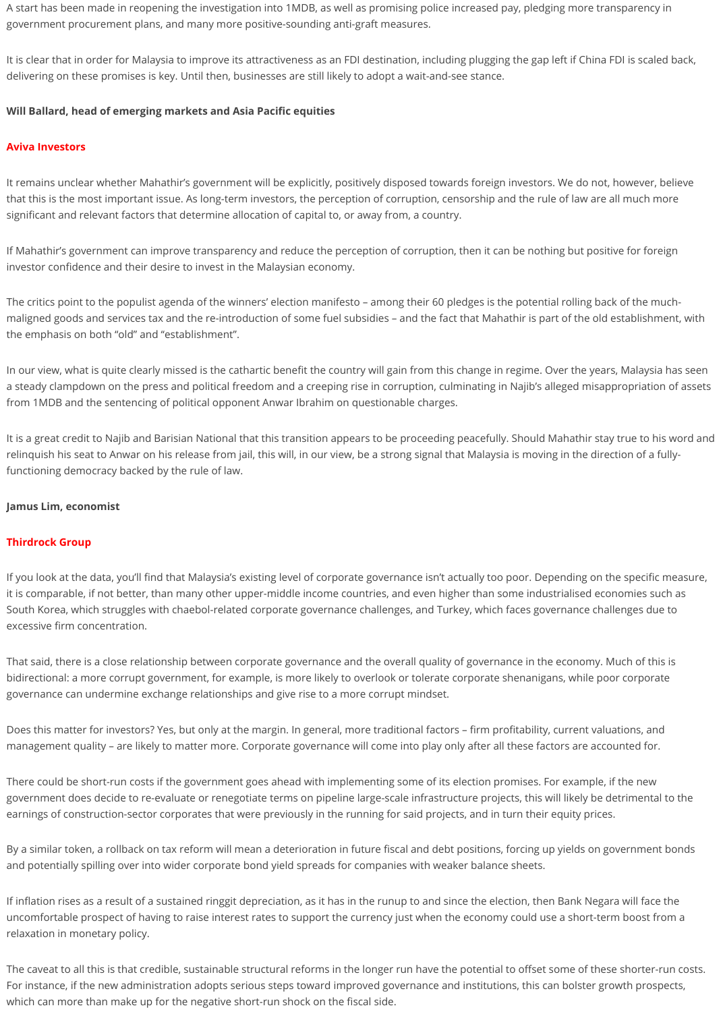A start has been made in reopening the investigation into 1MDB, as well as promising police increased pay, pledging more transparency in government procurement plans, and many more positive-sounding anti-graft measures.

It is clear that in order for Malaysia to improve its attractiveness as an FDI destination, including plugging the gap left if China FDI is scaled back, delivering on these promises is key. Until then, businesses are still likely to adopt a wait-and-see stance.

# **Will Ballard, head of emerging markets and Asia Pacific equities**

#### **Aviva Investors**

It remains unclear whether Mahathir's government will be explicitly, positively disposed towards foreign investors. We do not, however, believe that this is the most important issue. As long-term investors, the perception of corruption, censorship and the rule of law are all much more significant and relevant factors that determine allocation of capital to, or away from, a country.

If Mahathir's government can improve transparency and reduce the perception of corruption, then it can be nothing but positive for foreign investor confidence and their desire to invest in the Malaysian economy.

The critics point to the populist agenda of the winners' election manifesto – among their 60 pledges is the potential rolling back of the muchmaligned goods and services tax and the re-introduction of some fuel subsidies – and the fact that Mahathir is part of the old establishment, with the emphasis on both "old" and "establishment".

In our view, what is quite clearly missed is the cathartic benefit the country will gain from this change in regime. Over the years, Malaysia has seen a steady clampdown on the press and political freedom and a creeping rise in corruption, culminating in Najib's alleged misappropriation of assets from 1MDB and the sentencing of political opponent Anwar Ibrahim on questionable charges.

It is a great credit to Najib and Barisian National that this transition appears to be proceeding peacefully. Should Mahathir stay true to his word and relinquish his seat to Anwar on his release from jail, this will, in our view, be a strong signal that Malaysia is moving in the direction of a fullyfunctioning democracy backed by the rule of law.

# **Jamus Lim, economist**

# **Thirdrock Group**

If you look at the data, you'll find that Malaysia's existing level of corporate governance isn't actually too poor. Depending on the specific measure,

it is comparable, if not better, than many other upper-middle income countries, and even higher than some industrialised economies such as South Korea, which struggles with chaebol-related corporate governance challenges, and Turkey, which faces governance challenges due to excessive firm concentration.

That said, there is a close relationship between corporate governance and the overall quality of governance in the economy. Much of this is bidirectional: a more corrupt government, for example, is more likely to overlook or tolerate corporate shenanigans, while poor corporate governance can undermine exchange relationships and give rise to a more corrupt mindset.

Does this matter for investors? Yes, but only at the margin. In general, more traditional factors – firm profitability, current valuations, and management quality – are likely to matter more. Corporate governance will come into play only after all these factors are accounted for.

There could be short-run costs if the government goes ahead with implementing some of its election promises. For example, if the new government does decide to re-evaluate or renegotiate terms on pipeline large-scale infrastructure projects, this will likely be detrimental to the earnings of construction-sector corporates that were previously in the running for said projects, and in turn their equity prices.

By a similar token, a rollback on tax reform will mean a deterioration in future fiscal and debt positions, forcing up yields on government bonds and potentially spilling over into wider corporate bond yield spreads for companies with weaker balance sheets.

If inflation rises as a result of a sustained ringgit depreciation, as it has in the runup to and since the election, then Bank Negara will face the uncomfortable prospect of having to raise interest rates to support the currency just when the economy could use a short-term boost from a relaxation in monetary policy.

The caveat to all this is that credible, sustainable structural reforms in the longer run have the potential to offset some of these shorter-run costs. For instance, if the new administration adopts serious steps toward improved governance and institutions, this can bolster growth prospects, which can more than make up for the negative short-run shock on the fiscal side.